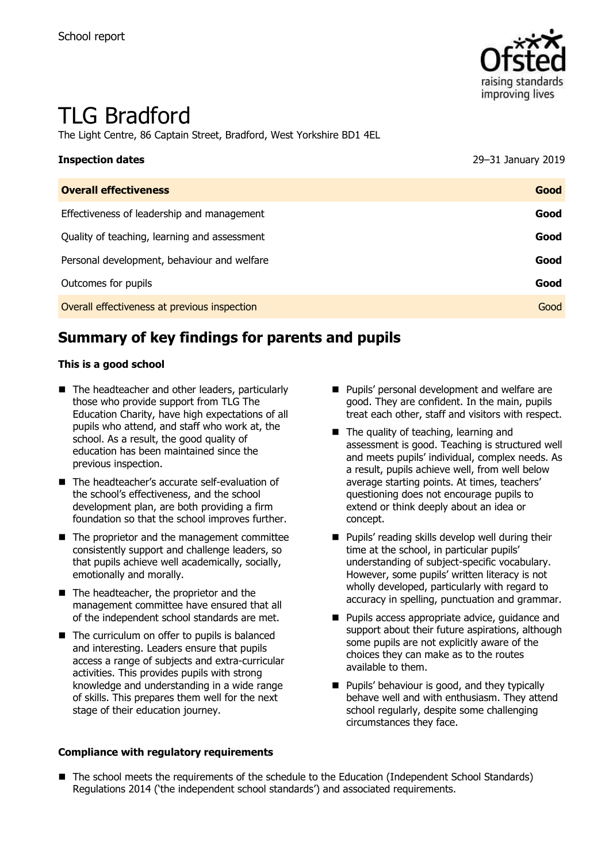

# TLG Bradford

The Light Centre, 86 Captain Street, Bradford, West Yorkshire BD1 4EL

| <b>Inspection dates</b>                      | 29-31 January 2019 |
|----------------------------------------------|--------------------|
| <b>Overall effectiveness</b>                 | Good               |
| Effectiveness of leadership and management   | Good               |
| Quality of teaching, learning and assessment | Good               |
| Personal development, behaviour and welfare  | Good               |
| Outcomes for pupils                          | Good               |
| Overall effectiveness at previous inspection | Good               |

# **Summary of key findings for parents and pupils**

#### **This is a good school**

- The headteacher and other leaders, particularly those who provide support from TLG The Education Charity, have high expectations of all pupils who attend, and staff who work at, the school. As a result, the good quality of education has been maintained since the previous inspection.
- The headteacher's accurate self-evaluation of the school's effectiveness, and the school development plan, are both providing a firm foundation so that the school improves further.
- The proprietor and the management committee consistently support and challenge leaders, so that pupils achieve well academically, socially, emotionally and morally.
- The headteacher, the proprietor and the management committee have ensured that all of the independent school standards are met.
- The curriculum on offer to pupils is balanced and interesting. Leaders ensure that pupils access a range of subjects and extra-curricular activities. This provides pupils with strong knowledge and understanding in a wide range of skills. This prepares them well for the next stage of their education journey.

#### **Compliance with regulatory requirements**

- **Pupils' personal development and welfare are** good. They are confident. In the main, pupils treat each other, staff and visitors with respect.
- The quality of teaching, learning and assessment is good. Teaching is structured well and meets pupils' individual, complex needs. As a result, pupils achieve well, from well below average starting points. At times, teachers' questioning does not encourage pupils to extend or think deeply about an idea or concept.
- **Pupils' reading skills develop well during their** time at the school, in particular pupils' understanding of subject-specific vocabulary. However, some pupils' written literacy is not wholly developed, particularly with regard to accuracy in spelling, punctuation and grammar.
- **Pupils access appropriate advice, quidance and** support about their future aspirations, although some pupils are not explicitly aware of the choices they can make as to the routes available to them.
- **Pupils' behaviour is good, and they typically** behave well and with enthusiasm. They attend school regularly, despite some challenging circumstances they face.
- The school meets the requirements of the schedule to the Education (Independent School Standards) Regulations 2014 ('the independent school standards') and associated requirements.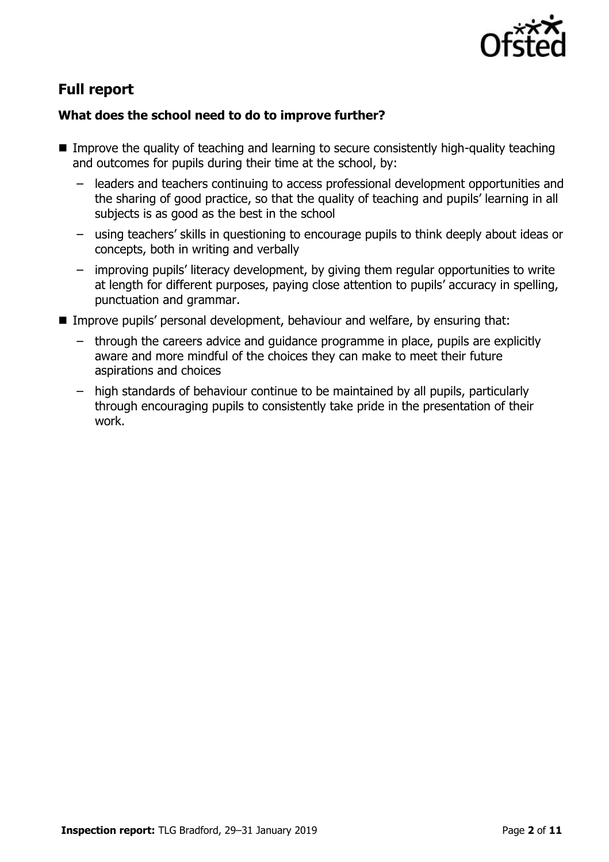

# **Full report**

### **What does the school need to do to improve further?**

- Improve the quality of teaching and learning to secure consistently high-quality teaching and outcomes for pupils during their time at the school, by:
	- leaders and teachers continuing to access professional development opportunities and the sharing of good practice, so that the quality of teaching and pupils' learning in all subjects is as good as the best in the school
	- using teachers' skills in questioning to encourage pupils to think deeply about ideas or concepts, both in writing and verbally
	- improving pupils' literacy development, by giving them regular opportunities to write at length for different purposes, paying close attention to pupils' accuracy in spelling, punctuation and grammar.
- Improve pupils' personal development, behaviour and welfare, by ensuring that:
	- through the careers advice and guidance programme in place, pupils are explicitly aware and more mindful of the choices they can make to meet their future aspirations and choices
	- high standards of behaviour continue to be maintained by all pupils, particularly through encouraging pupils to consistently take pride in the presentation of their work.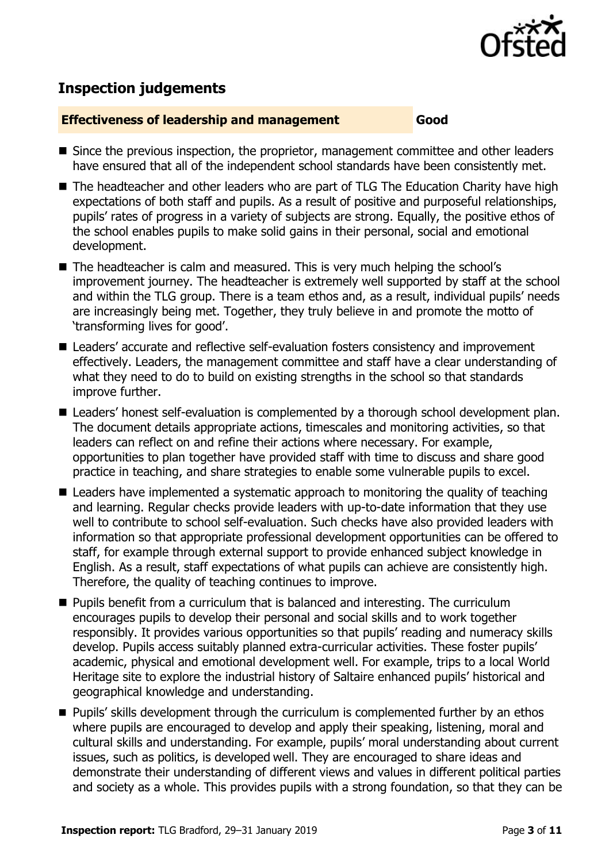

# **Inspection judgements**

#### **Effectiveness of leadership and management Good**

- Since the previous inspection, the proprietor, management committee and other leaders have ensured that all of the independent school standards have been consistently met.
- The headteacher and other leaders who are part of TLG The Education Charity have high expectations of both staff and pupils. As a result of positive and purposeful relationships, pupils' rates of progress in a variety of subjects are strong. Equally, the positive ethos of the school enables pupils to make solid gains in their personal, social and emotional development.
- The headteacher is calm and measured. This is very much helping the school's improvement journey. The headteacher is extremely well supported by staff at the school and within the TLG group. There is a team ethos and, as a result, individual pupils' needs are increasingly being met. Together, they truly believe in and promote the motto of 'transforming lives for good'.
- Leaders' accurate and reflective self-evaluation fosters consistency and improvement effectively. Leaders, the management committee and staff have a clear understanding of what they need to do to build on existing strengths in the school so that standards improve further.
- Leaders' honest self-evaluation is complemented by a thorough school development plan. The document details appropriate actions, timescales and monitoring activities, so that leaders can reflect on and refine their actions where necessary. For example, opportunities to plan together have provided staff with time to discuss and share good practice in teaching, and share strategies to enable some vulnerable pupils to excel.
- Leaders have implemented a systematic approach to monitoring the quality of teaching and learning. Regular checks provide leaders with up-to-date information that they use well to contribute to school self-evaluation. Such checks have also provided leaders with information so that appropriate professional development opportunities can be offered to staff, for example through external support to provide enhanced subject knowledge in English. As a result, staff expectations of what pupils can achieve are consistently high. Therefore, the quality of teaching continues to improve.
- $\blacksquare$  Pupils benefit from a curriculum that is balanced and interesting. The curriculum encourages pupils to develop their personal and social skills and to work together responsibly. It provides various opportunities so that pupils' reading and numeracy skills develop. Pupils access suitably planned extra-curricular activities. These foster pupils' academic, physical and emotional development well. For example, trips to a local World Heritage site to explore the industrial history of Saltaire enhanced pupils' historical and geographical knowledge and understanding.
- **Pupils'** skills development through the curriculum is complemented further by an ethos where pupils are encouraged to develop and apply their speaking, listening, moral and cultural skills and understanding. For example, pupils' moral understanding about current issues, such as politics, is developed well. They are encouraged to share ideas and demonstrate their understanding of different views and values in different political parties and society as a whole. This provides pupils with a strong foundation, so that they can be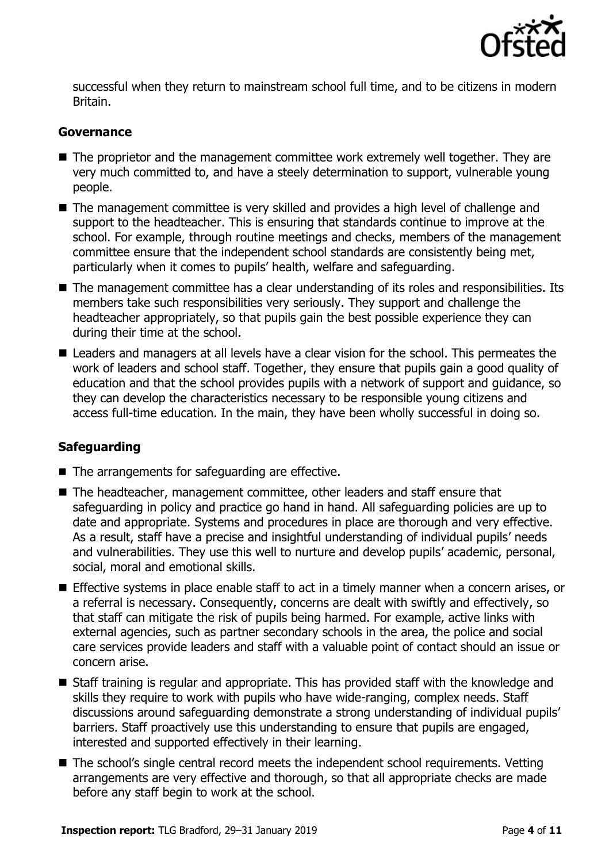

successful when they return to mainstream school full time, and to be citizens in modern Britain.

#### **Governance**

- The proprietor and the management committee work extremely well together. They are very much committed to, and have a steely determination to support, vulnerable young people.
- The management committee is very skilled and provides a high level of challenge and support to the headteacher. This is ensuring that standards continue to improve at the school. For example, through routine meetings and checks, members of the management committee ensure that the independent school standards are consistently being met, particularly when it comes to pupils' health, welfare and safeguarding.
- The management committee has a clear understanding of its roles and responsibilities. Its members take such responsibilities very seriously. They support and challenge the headteacher appropriately, so that pupils gain the best possible experience they can during their time at the school.
- Leaders and managers at all levels have a clear vision for the school. This permeates the work of leaders and school staff. Together, they ensure that pupils gain a good quality of education and that the school provides pupils with a network of support and guidance, so they can develop the characteristics necessary to be responsible young citizens and access full-time education. In the main, they have been wholly successful in doing so.

#### **Safeguarding**

- The arrangements for safeguarding are effective.
- The headteacher, management committee, other leaders and staff ensure that safeguarding in policy and practice go hand in hand. All safeguarding policies are up to date and appropriate. Systems and procedures in place are thorough and very effective. As a result, staff have a precise and insightful understanding of individual pupils' needs and vulnerabilities. They use this well to nurture and develop pupils' academic, personal, social, moral and emotional skills.
- **Effective systems in place enable staff to act in a timely manner when a concern arises, or** a referral is necessary. Consequently, concerns are dealt with swiftly and effectively, so that staff can mitigate the risk of pupils being harmed. For example, active links with external agencies, such as partner secondary schools in the area, the police and social care services provide leaders and staff with a valuable point of contact should an issue or concern arise.
- Staff training is regular and appropriate. This has provided staff with the knowledge and skills they require to work with pupils who have wide-ranging, complex needs. Staff discussions around safeguarding demonstrate a strong understanding of individual pupils' barriers. Staff proactively use this understanding to ensure that pupils are engaged, interested and supported effectively in their learning.
- The school's single central record meets the independent school requirements. Vetting arrangements are very effective and thorough, so that all appropriate checks are made before any staff begin to work at the school.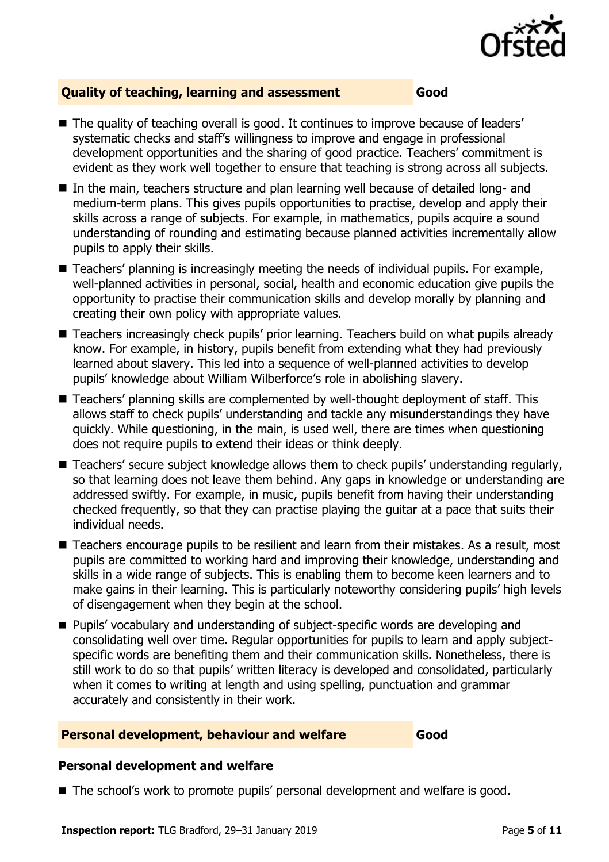

#### **Quality of teaching, learning and assessment Good**

- The quality of teaching overall is good. It continues to improve because of leaders' systematic checks and staff's willingness to improve and engage in professional development opportunities and the sharing of good practice. Teachers' commitment is evident as they work well together to ensure that teaching is strong across all subjects.
- In the main, teachers structure and plan learning well because of detailed long- and medium-term plans. This gives pupils opportunities to practise, develop and apply their skills across a range of subjects. For example, in mathematics, pupils acquire a sound understanding of rounding and estimating because planned activities incrementally allow pupils to apply their skills.
- Teachers' planning is increasingly meeting the needs of individual pupils. For example, well-planned activities in personal, social, health and economic education give pupils the opportunity to practise their communication skills and develop morally by planning and creating their own policy with appropriate values.
- Teachers increasingly check pupils' prior learning. Teachers build on what pupils already know. For example, in history, pupils benefit from extending what they had previously learned about slavery. This led into a sequence of well-planned activities to develop pupils' knowledge about William Wilberforce's role in abolishing slavery.
- Teachers' planning skills are complemented by well-thought deployment of staff. This allows staff to check pupils' understanding and tackle any misunderstandings they have quickly. While questioning, in the main, is used well, there are times when questioning does not require pupils to extend their ideas or think deeply.
- Teachers' secure subject knowledge allows them to check pupils' understanding regularly, so that learning does not leave them behind. Any gaps in knowledge or understanding are addressed swiftly. For example, in music, pupils benefit from having their understanding checked frequently, so that they can practise playing the guitar at a pace that suits their individual needs.
- Teachers encourage pupils to be resilient and learn from their mistakes. As a result, most pupils are committed to working hard and improving their knowledge, understanding and skills in a wide range of subjects. This is enabling them to become keen learners and to make gains in their learning. This is particularly noteworthy considering pupils' high levels of disengagement when they begin at the school.
- Pupils' vocabulary and understanding of subject-specific words are developing and consolidating well over time. Regular opportunities for pupils to learn and apply subjectspecific words are benefiting them and their communication skills. Nonetheless, there is still work to do so that pupils' written literacy is developed and consolidated, particularly when it comes to writing at length and using spelling, punctuation and grammar accurately and consistently in their work.

#### **Personal development, behaviour and welfare Good**

#### **Personal development and welfare**

■ The school's work to promote pupils' personal development and welfare is good.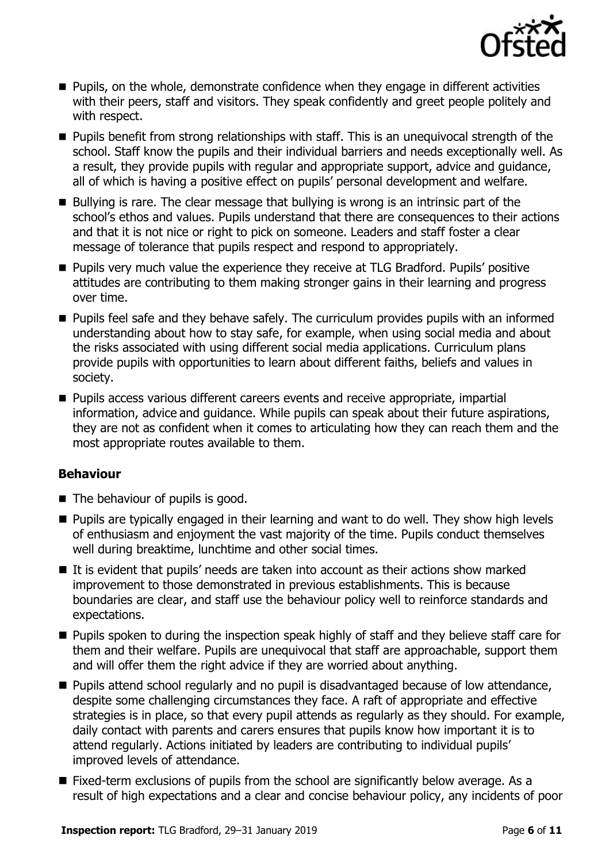

- **Pupils, on the whole, demonstrate confidence when they engage in different activities** with their peers, staff and visitors. They speak confidently and greet people politely and with respect.
- **Pupils benefit from strong relationships with staff. This is an unequivocal strength of the** school. Staff know the pupils and their individual barriers and needs exceptionally well. As a result, they provide pupils with regular and appropriate support, advice and guidance, all of which is having a positive effect on pupils' personal development and welfare.
- Bullying is rare. The clear message that bullying is wrong is an intrinsic part of the school's ethos and values. Pupils understand that there are consequences to their actions and that it is not nice or right to pick on someone. Leaders and staff foster a clear message of tolerance that pupils respect and respond to appropriately.
- **Pupils very much value the experience they receive at TLG Bradford. Pupils' positive** attitudes are contributing to them making stronger gains in their learning and progress over time.
- **Pupils feel safe and they behave safely. The curriculum provides pupils with an informed** understanding about how to stay safe, for example, when using social media and about the risks associated with using different social media applications. Curriculum plans provide pupils with opportunities to learn about different faiths, beliefs and values in society.
- **Pupils access various different careers events and receive appropriate, impartial** information, advice and guidance. While pupils can speak about their future aspirations, they are not as confident when it comes to articulating how they can reach them and the most appropriate routes available to them.

#### **Behaviour**

- The behaviour of pupils is good.
- **Pupils are typically engaged in their learning and want to do well. They show high levels** of enthusiasm and enjoyment the vast majority of the time. Pupils conduct themselves well during breaktime, lunchtime and other social times.
- It is evident that pupils' needs are taken into account as their actions show marked improvement to those demonstrated in previous establishments. This is because boundaries are clear, and staff use the behaviour policy well to reinforce standards and expectations.
- **Pupils spoken to during the inspection speak highly of staff and they believe staff care for** them and their welfare. Pupils are unequivocal that staff are approachable, support them and will offer them the right advice if they are worried about anything.
- **Pupils attend school regularly and no pupil is disadvantaged because of low attendance,** despite some challenging circumstances they face. A raft of appropriate and effective strategies is in place, so that every pupil attends as regularly as they should. For example, daily contact with parents and carers ensures that pupils know how important it is to attend regularly. Actions initiated by leaders are contributing to individual pupils' improved levels of attendance.
- Fixed-term exclusions of pupils from the school are significantly below average. As a result of high expectations and a clear and concise behaviour policy, any incidents of poor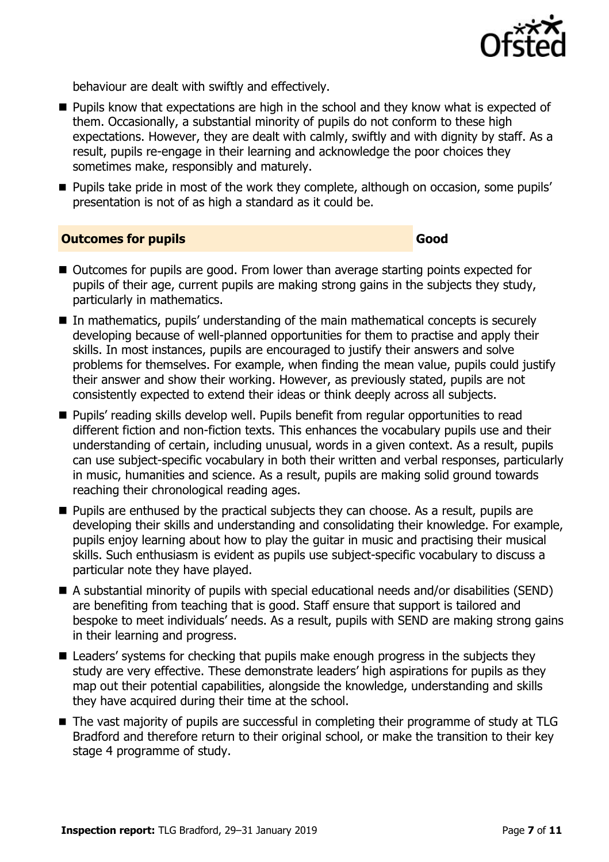

behaviour are dealt with swiftly and effectively.

- **Pupils know that expectations are high in the school and they know what is expected of** them. Occasionally, a substantial minority of pupils do not conform to these high expectations. However, they are dealt with calmly, swiftly and with dignity by staff. As a result, pupils re-engage in their learning and acknowledge the poor choices they sometimes make, responsibly and maturely.
- **Pupils take pride in most of the work they complete, although on occasion, some pupils'** presentation is not of as high a standard as it could be.

#### **Outcomes for pupils Good**

- Outcomes for pupils are good. From lower than average starting points expected for pupils of their age, current pupils are making strong gains in the subjects they study, particularly in mathematics.
- In mathematics, pupils' understanding of the main mathematical concepts is securely developing because of well-planned opportunities for them to practise and apply their skills. In most instances, pupils are encouraged to justify their answers and solve problems for themselves. For example, when finding the mean value, pupils could justify their answer and show their working. However, as previously stated, pupils are not consistently expected to extend their ideas or think deeply across all subjects.
- **Pupils'** reading skills develop well. Pupils benefit from regular opportunities to read different fiction and non-fiction texts. This enhances the vocabulary pupils use and their understanding of certain, including unusual, words in a given context. As a result, pupils can use subject-specific vocabulary in both their written and verbal responses, particularly in music, humanities and science. As a result, pupils are making solid ground towards reaching their chronological reading ages.
- **Pupils are enthused by the practical subjects they can choose. As a result, pupils are** developing their skills and understanding and consolidating their knowledge. For example, pupils enjoy learning about how to play the guitar in music and practising their musical skills. Such enthusiasm is evident as pupils use subject-specific vocabulary to discuss a particular note they have played.
- A substantial minority of pupils with special educational needs and/or disabilities (SEND) are benefiting from teaching that is good. Staff ensure that support is tailored and bespoke to meet individuals' needs. As a result, pupils with SEND are making strong gains in their learning and progress.
- Leaders' systems for checking that pupils make enough progress in the subjects they study are very effective. These demonstrate leaders' high aspirations for pupils as they map out their potential capabilities, alongside the knowledge, understanding and skills they have acquired during their time at the school.
- The vast majority of pupils are successful in completing their programme of study at TLG Bradford and therefore return to their original school, or make the transition to their key stage 4 programme of study.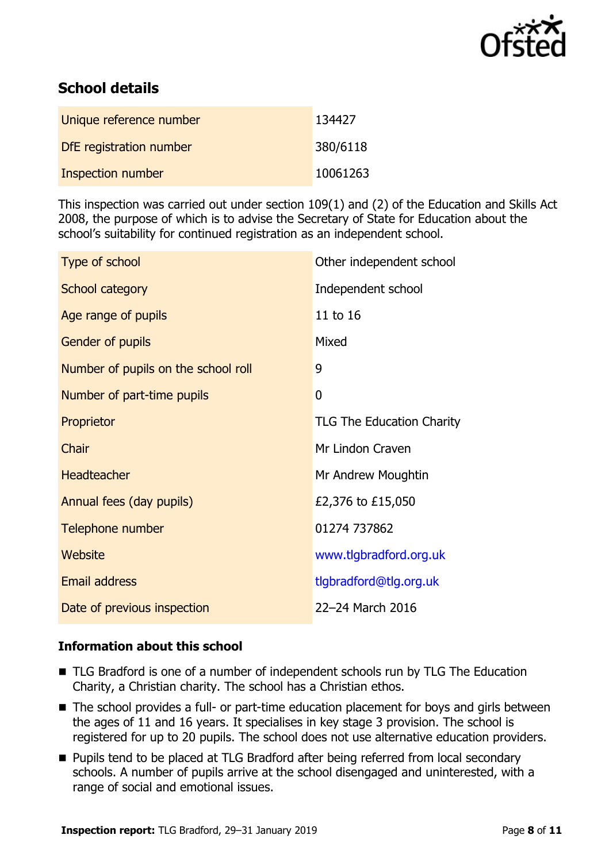

# **School details**

| Unique reference number | 134427   |
|-------------------------|----------|
| DfE registration number | 380/6118 |
| Inspection number       | 10061263 |

This inspection was carried out under section 109(1) and (2) of the Education and Skills Act 2008, the purpose of which is to advise the Secretary of State for Education about the school's suitability for continued registration as an independent school.

| Type of school                      | Other independent school         |
|-------------------------------------|----------------------------------|
| School category                     | Independent school               |
| Age range of pupils                 | 11 to 16                         |
| <b>Gender of pupils</b>             | Mixed                            |
| Number of pupils on the school roll | 9                                |
| Number of part-time pupils          | $\mathbf{0}$                     |
| Proprietor                          | <b>TLG The Education Charity</b> |
| Chair                               | Mr Lindon Craven                 |
| <b>Headteacher</b>                  | Mr Andrew Moughtin               |
| Annual fees (day pupils)            | £2,376 to £15,050                |
| Telephone number                    | 01274 737862                     |
| Website                             | www.tlgbradford.org.uk           |
| <b>Email address</b>                | tlgbradford@tlg.org.uk           |
| Date of previous inspection         | 22-24 March 2016                 |

#### **Information about this school**

- TLG Bradford is one of a number of independent schools run by TLG The Education Charity, a Christian charity. The school has a Christian ethos.
- The school provides a full- or part-time education placement for boys and girls between the ages of 11 and 16 years. It specialises in key stage 3 provision. The school is registered for up to 20 pupils. The school does not use alternative education providers.
- **Pupils tend to be placed at TLG Bradford after being referred from local secondary** schools. A number of pupils arrive at the school disengaged and uninterested, with a range of social and emotional issues.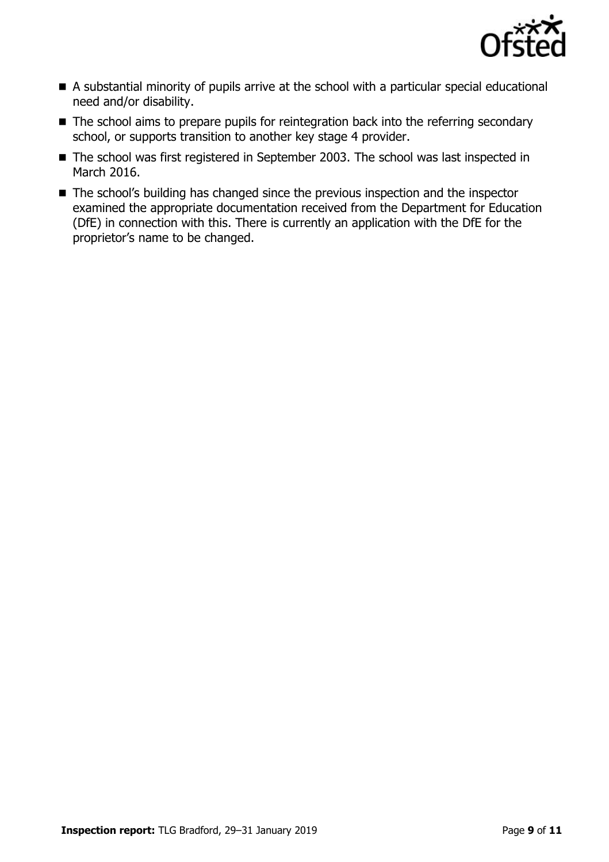

- A substantial minority of pupils arrive at the school with a particular special educational need and/or disability.
- The school aims to prepare pupils for reintegration back into the referring secondary school, or supports transition to another key stage 4 provider.
- The school was first registered in September 2003. The school was last inspected in March 2016.
- The school's building has changed since the previous inspection and the inspector examined the appropriate documentation received from the Department for Education (DfE) in connection with this. There is currently an application with the DfE for the proprietor's name to be changed.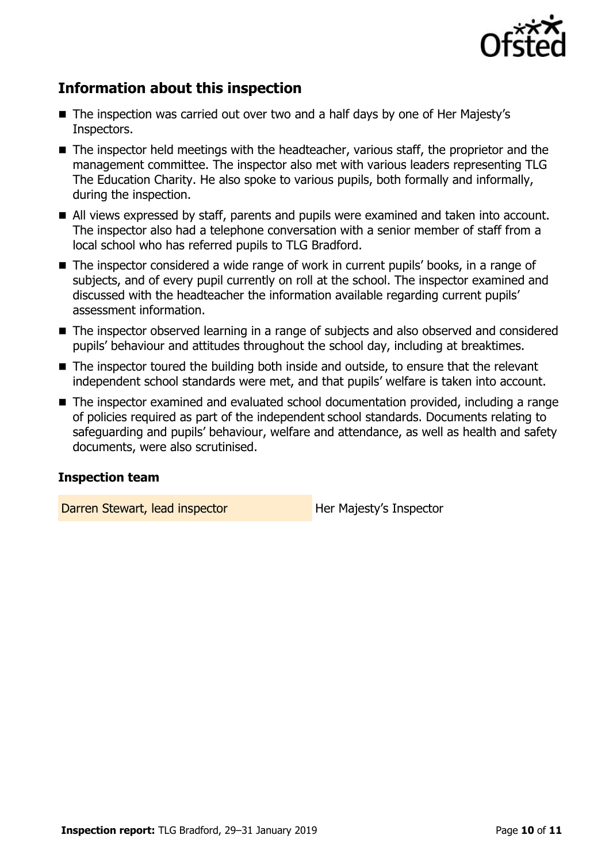

# **Information about this inspection**

- The inspection was carried out over two and a half days by one of Her Majesty's Inspectors.
- The inspector held meetings with the headteacher, various staff, the proprietor and the management committee. The inspector also met with various leaders representing TLG The Education Charity. He also spoke to various pupils, both formally and informally, during the inspection.
- All views expressed by staff, parents and pupils were examined and taken into account. The inspector also had a telephone conversation with a senior member of staff from a local school who has referred pupils to TLG Bradford.
- The inspector considered a wide range of work in current pupils' books, in a range of subjects, and of every pupil currently on roll at the school. The inspector examined and discussed with the headteacher the information available regarding current pupils' assessment information.
- The inspector observed learning in a range of subjects and also observed and considered pupils' behaviour and attitudes throughout the school day, including at breaktimes.
- The inspector toured the building both inside and outside, to ensure that the relevant independent school standards were met, and that pupils' welfare is taken into account.
- The inspector examined and evaluated school documentation provided, including a range of policies required as part of the independent school standards. Documents relating to safeguarding and pupils' behaviour, welfare and attendance, as well as health and safety documents, were also scrutinised.

#### **Inspection team**

Darren Stewart, lead inspector **Her Majesty's Inspector**